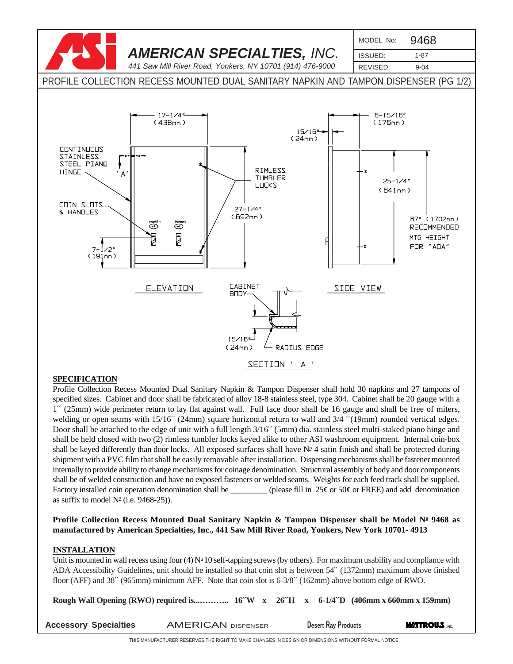

## **SPECIFICATION**

Profile Collection Recess Mounted Dual Sanitary Napkin & Tampon Dispenser shall hold 30 napkins and 27 tampons of specified sizes. Cabinet and door shall be fabricated of alloy 18-8 stainless steel, type 304. Cabinet shall be 20 gauge with a 1′′ (25mm) wide perimeter return to lay flat against wall. Full face door shall be 16 gauge and shall be free of miters, welding or open seams with  $15/16''$  (24mm) square horizontal return to wall and  $3/4''$ (19mm) rounded vertical edges. Door shall be attached to the edge of unit with a full length 3/16′′ (5mm) dia. stainless steel multi-staked piano hinge and shall be held closed with two (2) rimless tumbler locks keyed alike to other ASI washroom equipment. Internal coin-box shall be keyed differently than door locks. All exposed surfaces shall have  $N<sup>o</sup>$  4 satin finish and shall be protected during shipment with a PVC film that shall be easily removable after installation. Dispensing mechanisms shall be fastener mounted internally to provide ability to change mechanisms for coinage denomination. Structural assembly of body and door components shall be of welded construction and have no exposed fasteners or welded seams. Weights for each feed track shall be supplied. Factory installed coin operation denomination shall be  $\qquad$  (please fill in 25¢ or 50¢ or FREE) and add denomination as suffix to model  $N^{\circ}$  (i.e. 9468-25)).

#### **Profile Collection Recess Mounted Dual Sanitary Napkin & Tampon Dispenser shall be Model No 9468 as manufactured by American Specialties, Inc., 441 Saw Mill River Road, Yonkers, New York 10701- 4913**

## **INSTALLATION**

Unit is mounted in wall recess using four (4)  $N^{\circ}10$  self-tapping screws (by others). For maximum usability and compliance with ADA Accessibility Guidelines, unit should be installed so that coin slot is between 54′′ (1372mm) maximum above finished floor (AFF) and 38′′ (965mm) minimum AFF. Note that coin slot is 6-3/8′′ (162mm) above bottom edge of RWO.

**Rough Wall Opening (RWO) required is...……….. 16**′′**W x 26**′′**H x 6-1/4**′′**D (406mm x 660mm x 159mm)**

|  | <b>Accessory Specialties</b> | <b>AMERIO</b> |
|--|------------------------------|---------------|
|--|------------------------------|---------------|

**CAN** DISPENSER Desert Ray Products **WATROUS** Inc.